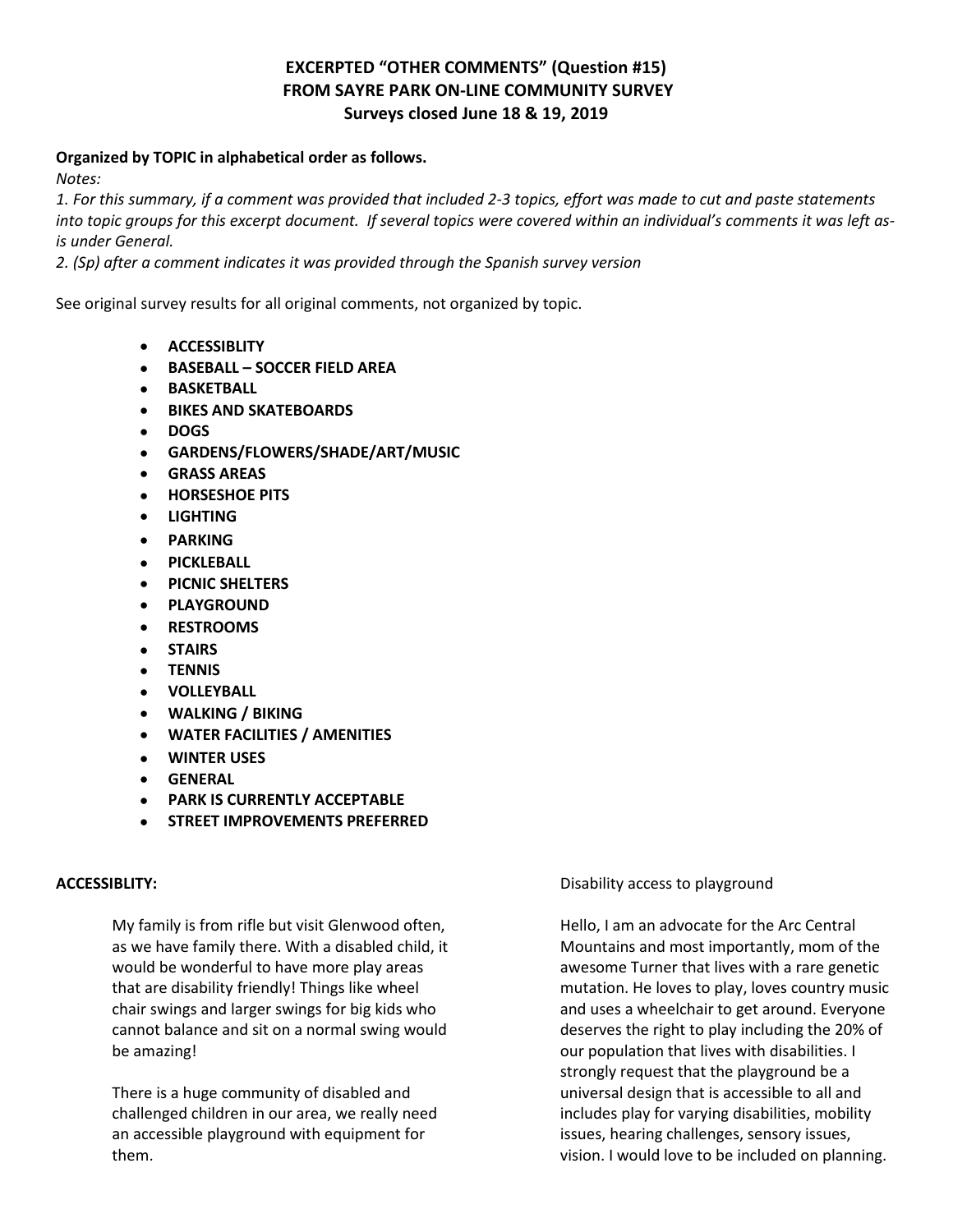# **EXCERPTED "OTHER COMMENTS" (Question #15) FROM SAYRE PARK ON-LINE COMMUNITY SURVEY Surveys closed June 18 & 19, 2019**

# **Organized by TOPIC in alphabetical order as follows.**

*Notes:*

*1. For this summary, if a comment was provided that included 2-3 topics, effort was made to cut and paste statements into topic groups for this excerpt document. If several topics were covered within an individual's comments it was left asis under General.* 

*2. (Sp) after a comment indicates it was provided through the Spanish survey version* 

See original survey results for all original comments, not organized by topic.

- **ACCESSIBLITY**
- **BASEBALL – SOCCER FIELD AREA**
- **BASKETBALL**
- **BIKES AND SKATEBOARDS**
- **DOGS**
- **GARDENS/FLOWERS/SHADE/ART/MUSIC**
- **GRASS AREAS**
- **HORSESHOE PITS**
- **LIGHTING**
- **PARKING**
- **PICKLEBALL**
- **PICNIC SHELTERS**
- **PLAYGROUND**
- **RESTROOMS**
- **STAIRS**
- **TENNIS**
- **VOLLEYBALL**
- **WALKING / BIKING**
- **WATER FACILITIES / AMENITIES**
- **WINTER USES**
- **GENERAL**
- **PARK IS CURRENTLY ACCEPTABLE**
- **STREET IMPROVEMENTS PREFERRED**

# **ACCESSIBLITY:**

My family is from rifle but visit Glenwood often, as we have family there. With a disabled child, it would be wonderful to have more play areas that are disability friendly! Things like wheel chair swings and larger swings for big kids who cannot balance and sit on a normal swing would be amazing!

There is a huge community of disabled and challenged children in our area, we really need an accessible playground with equipment for them.

Disability access to playground

Hello, I am an advocate for the Arc Central Mountains and most importantly, mom of the awesome Turner that lives with a rare genetic mutation. He loves to play, loves country music and uses a wheelchair to get around. Everyone deserves the right to play including the 20% of our population that lives with disabilities. I strongly request that the playground be a universal design that is accessible to all and includes play for varying disabilities, mobility issues, hearing challenges, sensory issues, vision. I would love to be included on planning.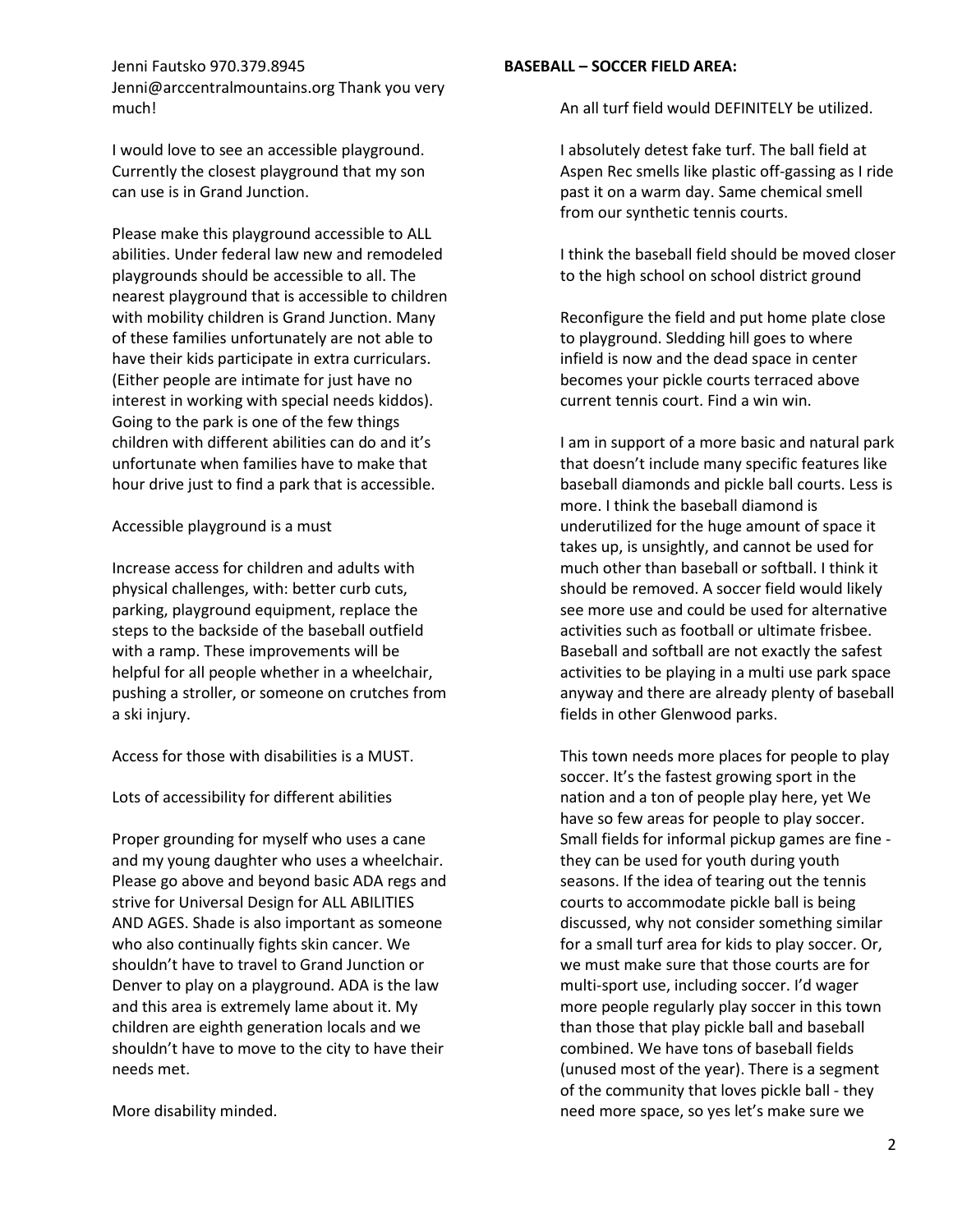# Jenni Fautsko 970.379.8945 Jenni@arccentralmountains.org Thank you very much!

I would love to see an accessible playground. Currently the closest playground that my son can use is in Grand Junction.

Please make this playground accessible to ALL abilities. Under federal law new and remodeled playgrounds should be accessible to all. The nearest playground that is accessible to children with mobility children is Grand Junction. Many of these families unfortunately are not able to have their kids participate in extra curriculars. (Either people are intimate for just have no interest in working with special needs kiddos). Going to the park is one of the few things children with different abilities can do and it's unfortunate when families have to make that hour drive just to find a park that is accessible.

# Accessible playground is a must

Increase access for children and adults with physical challenges, with: better curb cuts, parking, playground equipment, replace the steps to the backside of the baseball outfield with a ramp. These improvements will be helpful for all people whether in a wheelchair, pushing a stroller, or someone on crutches from a ski injury.

Access for those with disabilities is a MUST.

Lots of accessibility for different abilities

Proper grounding for myself who uses a cane and my young daughter who uses a wheelchair. Please go above and beyond basic ADA regs and strive for Universal Design for ALL ABILITIES AND AGES. Shade is also important as someone who also continually fights skin cancer. We shouldn't have to travel to Grand Junction or Denver to play on a playground. ADA is the law and this area is extremely lame about it. My children are eighth generation locals and we shouldn't have to move to the city to have their needs met.

More disability minded.

# **BASEBALL – SOCCER FIELD AREA:**

An all turf field would DEFINITELY be utilized.

I absolutely detest fake turf. The ball field at Aspen Rec smells like plastic off-gassing as I ride past it on a warm day. Same chemical smell from our synthetic tennis courts.

I think the baseball field should be moved closer to the high school on school district ground

Reconfigure the field and put home plate close to playground. Sledding hill goes to where infield is now and the dead space in center becomes your pickle courts terraced above current tennis court. Find a win win.

I am in support of a more basic and natural park that doesn't include many specific features like baseball diamonds and pickle ball courts. Less is more. I think the baseball diamond is underutilized for the huge amount of space it takes up, is unsightly, and cannot be used for much other than baseball or softball. I think it should be removed. A soccer field would likely see more use and could be used for alternative activities such as football or ultimate frisbee. Baseball and softball are not exactly the safest activities to be playing in a multi use park space anyway and there are already plenty of baseball fields in other Glenwood parks.

This town needs more places for people to play soccer. It's the fastest growing sport in the nation and a ton of people play here, yet We have so few areas for people to play soccer. Small fields for informal pickup games are fine they can be used for youth during youth seasons. If the idea of tearing out the tennis courts to accommodate pickle ball is being discussed, why not consider something similar for a small turf area for kids to play soccer. Or, we must make sure that those courts are for multi-sport use, including soccer. I'd wager more people regularly play soccer in this town than those that play pickle ball and baseball combined. We have tons of baseball fields (unused most of the year). There is a segment of the community that loves pickle ball - they need more space, so yes let's make sure we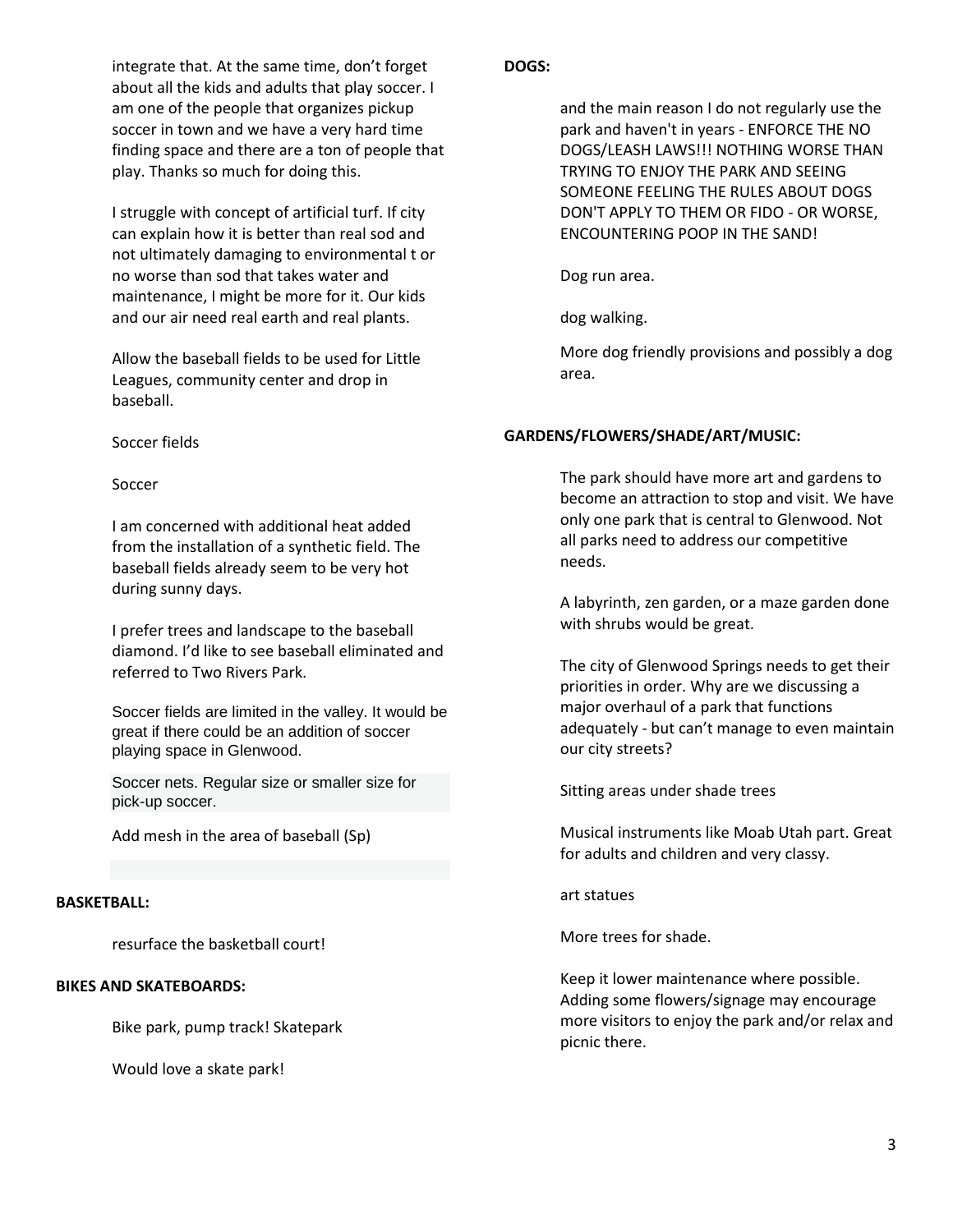integrate that. At the same time, don't forget about all the kids and adults that play soccer. I am one of the people that organizes pickup soccer in town and we have a very hard time finding space and there are a ton of people that play. Thanks so much for doing this.

I struggle with concept of artificial turf. If city can explain how it is better than real sod and not ultimately damaging to environmental t or no worse than sod that takes water and maintenance, I might be more for it. Our kids and our air need real earth and real plants.

Allow the baseball fields to be used for Little Leagues, community center and drop in baseball.

### Soccer fields

### Soccer

I am concerned with additional heat added from the installation of a synthetic field. The baseball fields already seem to be very hot during sunny days.

I prefer trees and landscape to the baseball diamond. I'd like to see baseball eliminated and referred to Two Rivers Park.

Soccer fields are limited in the valley. It would be great if there could be an addition of soccer playing space in Glenwood.

Soccer nets. Regular size or smaller size for pick-up soccer.

Add mesh in the area of baseball (Sp)

#### **BASKETBALL:**

resurface the basketball court!

# **BIKES AND SKATEBOARDS:**

Bike park, pump track! Skatepark

Would love a skate park!

### **DOGS:**

and the main reason I do not regularly use the park and haven't in years - ENFORCE THE NO DOGS/LEASH LAWS!!! NOTHING WORSE THAN TRYING TO ENJOY THE PARK AND SEEING SOMEONE FEELING THE RULES ABOUT DOGS DON'T APPLY TO THEM OR FIDO - OR WORSE, ENCOUNTERING POOP IN THE SAND!

Dog run area.

dog walking.

More dog friendly provisions and possibly a dog area.

### **GARDENS/FLOWERS/SHADE/ART/MUSIC:**

The park should have more art and gardens to become an attraction to stop and visit. We have only one park that is central to Glenwood. Not all parks need to address our competitive needs.

A labyrinth, zen garden, or a maze garden done with shrubs would be great.

The city of Glenwood Springs needs to get their priorities in order. Why are we discussing a major overhaul of a park that functions adequately - but can't manage to even maintain our city streets?

Sitting areas under shade trees

Musical instruments like Moab Utah part. Great for adults and children and very classy.

art statues

More trees for shade.

Keep it lower maintenance where possible. Adding some flowers/signage may encourage more visitors to enjoy the park and/or relax and picnic there.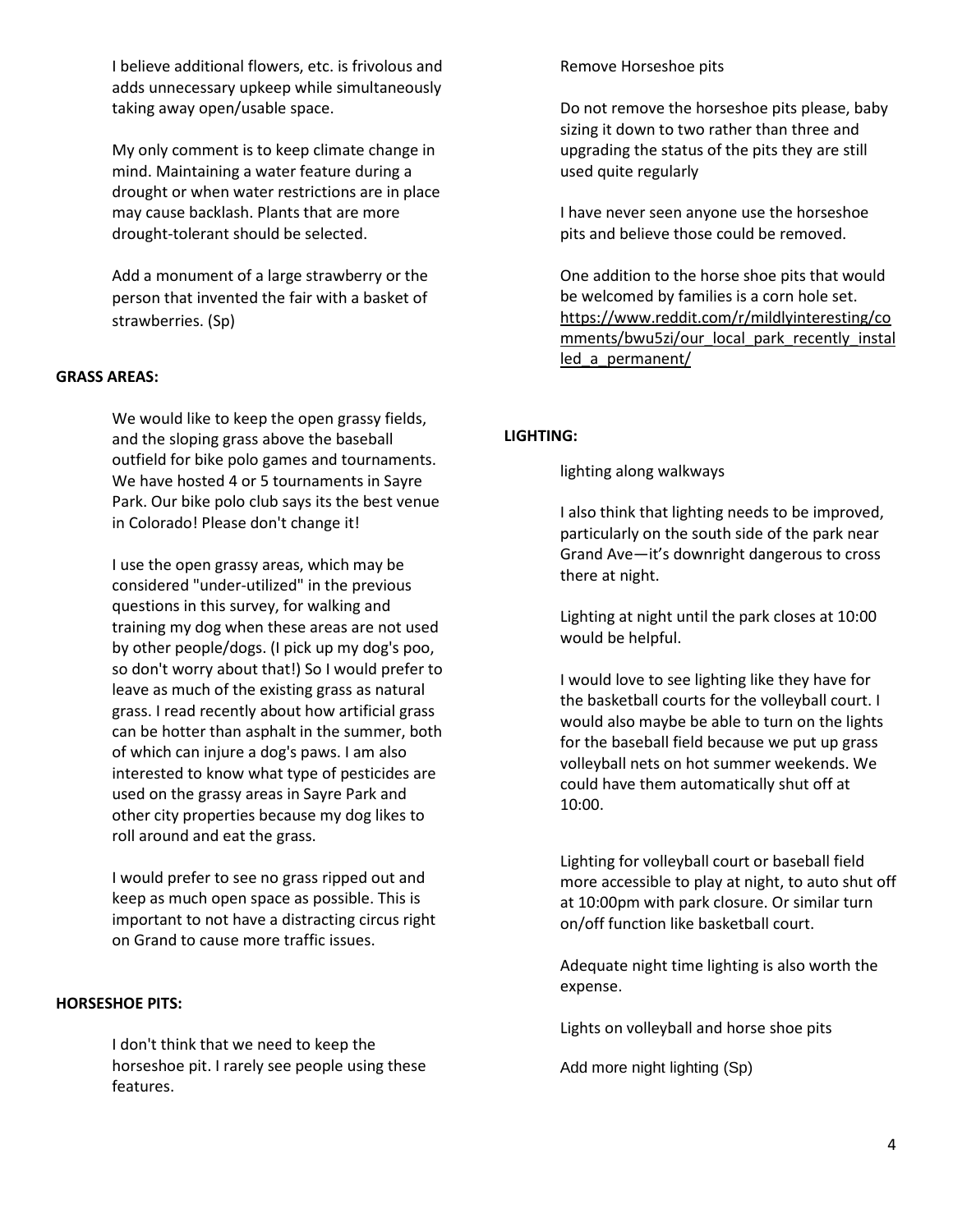I believe additional flowers, etc. is frivolous and adds unnecessary upkeep while simultaneously taking away open/usable space.

My only comment is to keep climate change in mind. Maintaining a water feature during a drought or when water restrictions are in place may cause backlash. Plants that are more drought-tolerant should be selected.

Add a monument of a large strawberry or the person that invented the fair with a basket of strawberries. (Sp)

### **GRASS AREAS:**

We would like to keep the open grassy fields, and the sloping grass above the baseball outfield for bike polo games and tournaments. We have hosted 4 or 5 tournaments in Sayre Park. Our bike polo club says its the best venue in Colorado! Please don't change it!

I use the open grassy areas, which may be considered "under-utilized" in the previous questions in this survey, for walking and training my dog when these areas are not used by other people/dogs. (I pick up my dog's poo, so don't worry about that!) So I would prefer to leave as much of the existing grass as natural grass. I read recently about how artificial grass can be hotter than asphalt in the summer, both of which can injure a dog's paws. I am also interested to know what type of pesticides are used on the grassy areas in Sayre Park and other city properties because my dog likes to roll around and eat the grass.

I would prefer to see no grass ripped out and keep as much open space as possible. This is important to not have a distracting circus right on Grand to cause more traffic issues.

#### **HORSESHOE PITS:**

I don't think that we need to keep the horseshoe pit. I rarely see people using these features.

Remove Horseshoe pits

Do not remove the horseshoe pits please, baby sizing it down to two rather than three and upgrading the status of the pits they are still used quite regularly

I have never seen anyone use the horseshoe pits and believe those could be removed.

One addition to the horse shoe pits that would be welcomed by families is a corn hole set. [https://www.reddit.com/r/mildlyinteresting/co](https://www.reddit.com/r/mildlyinteresting/comments/bwu5zi/our_local_park_recently_installed_a_permanent/) [mments/bwu5zi/our\\_local\\_park\\_recently\\_instal](https://www.reddit.com/r/mildlyinteresting/comments/bwu5zi/our_local_park_recently_installed_a_permanent/) led a permanent/

#### **LIGHTING:**

lighting along walkways

I also think that lighting needs to be improved, particularly on the south side of the park near Grand Ave—it's downright dangerous to cross there at night.

Lighting at night until the park closes at 10:00 would be helpful.

I would love to see lighting like they have for the basketball courts for the volleyball court. I would also maybe be able to turn on the lights for the baseball field because we put up grass volleyball nets on hot summer weekends. We could have them automatically shut off at 10:00.

Lighting for volleyball court or baseball field more accessible to play at night, to auto shut off at 10:00pm with park closure. Or similar turn on/off function like basketball court.

Adequate night time lighting is also worth the expense.

Lights on volleyball and horse shoe pits

Add more night lighting (Sp)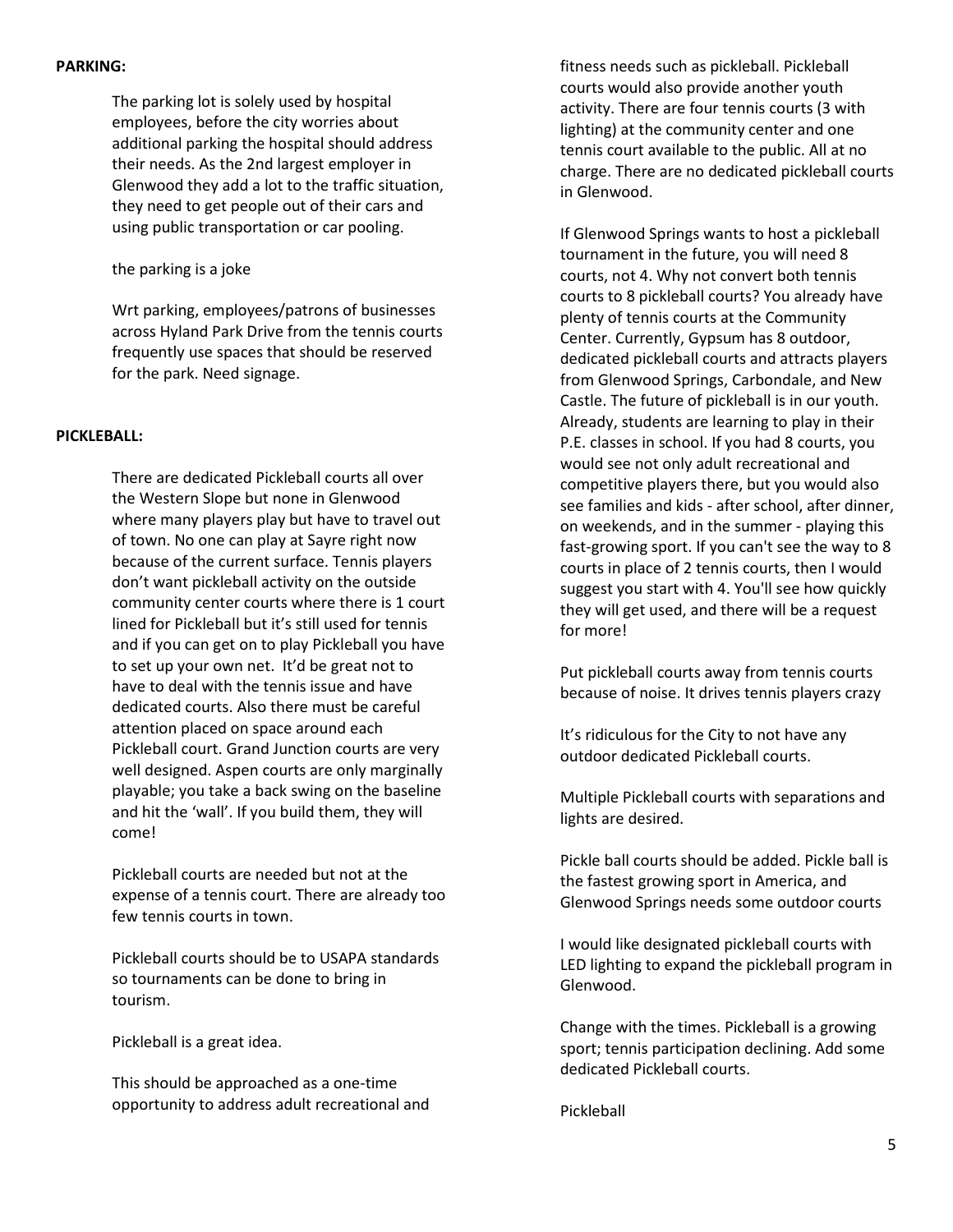### **PARKING:**

The parking lot is solely used by hospital employees, before the city worries about additional parking the hospital should address their needs. As the 2nd largest employer in Glenwood they add a lot to the traffic situation, they need to get people out of their cars and using public transportation or car pooling.

the parking is a joke

Wrt parking, employees/patrons of businesses across Hyland Park Drive from the tennis courts frequently use spaces that should be reserved for the park. Need signage.

# **PICKLEBALL:**

There are dedicated Pickleball courts all over the Western Slope but none in Glenwood where many players play but have to travel out of town. No one can play at Sayre right now because of the current surface. Tennis players don't want pickleball activity on the outside community center courts where there is 1 court lined for Pickleball but it's still used for tennis and if you can get on to play Pickleball you have to set up your own net. It'd be great not to have to deal with the tennis issue and have dedicated courts. Also there must be careful attention placed on space around each Pickleball court. Grand Junction courts are very well designed. Aspen courts are only marginally playable; you take a back swing on the baseline and hit the 'wall'. If you build them, they will come!

Pickleball courts are needed but not at the expense of a tennis court. There are already too few tennis courts in town.

Pickleball courts should be to USAPA standards so tournaments can be done to bring in tourism.

Pickleball is a great idea.

This should be approached as a one-time opportunity to address adult recreational and fitness needs such as pickleball. Pickleball courts would also provide another youth activity. There are four tennis courts (3 with lighting) at the community center and one tennis court available to the public. All at no charge. There are no dedicated pickleball courts in Glenwood.

If Glenwood Springs wants to host a pickleball tournament in the future, you will need 8 courts, not 4. Why not convert both tennis courts to 8 pickleball courts? You already have plenty of tennis courts at the Community Center. Currently, Gypsum has 8 outdoor, dedicated pickleball courts and attracts players from Glenwood Springs, Carbondale, and New Castle. The future of pickleball is in our youth. Already, students are learning to play in their P.E. classes in school. If you had 8 courts, you would see not only adult recreational and competitive players there, but you would also see families and kids - after school, after dinner, on weekends, and in the summer - playing this fast-growing sport. If you can't see the way to 8 courts in place of 2 tennis courts, then I would suggest you start with 4. You'll see how quickly they will get used, and there will be a request for more!

Put pickleball courts away from tennis courts because of noise. It drives tennis players crazy

It's ridiculous for the City to not have any outdoor dedicated Pickleball courts.

Multiple Pickleball courts with separations and lights are desired.

Pickle ball courts should be added. Pickle ball is the fastest growing sport in America, and Glenwood Springs needs some outdoor courts

I would like designated pickleball courts with LED lighting to expand the pickleball program in Glenwood.

Change with the times. Pickleball is a growing sport; tennis participation declining. Add some dedicated Pickleball courts.

Pickleball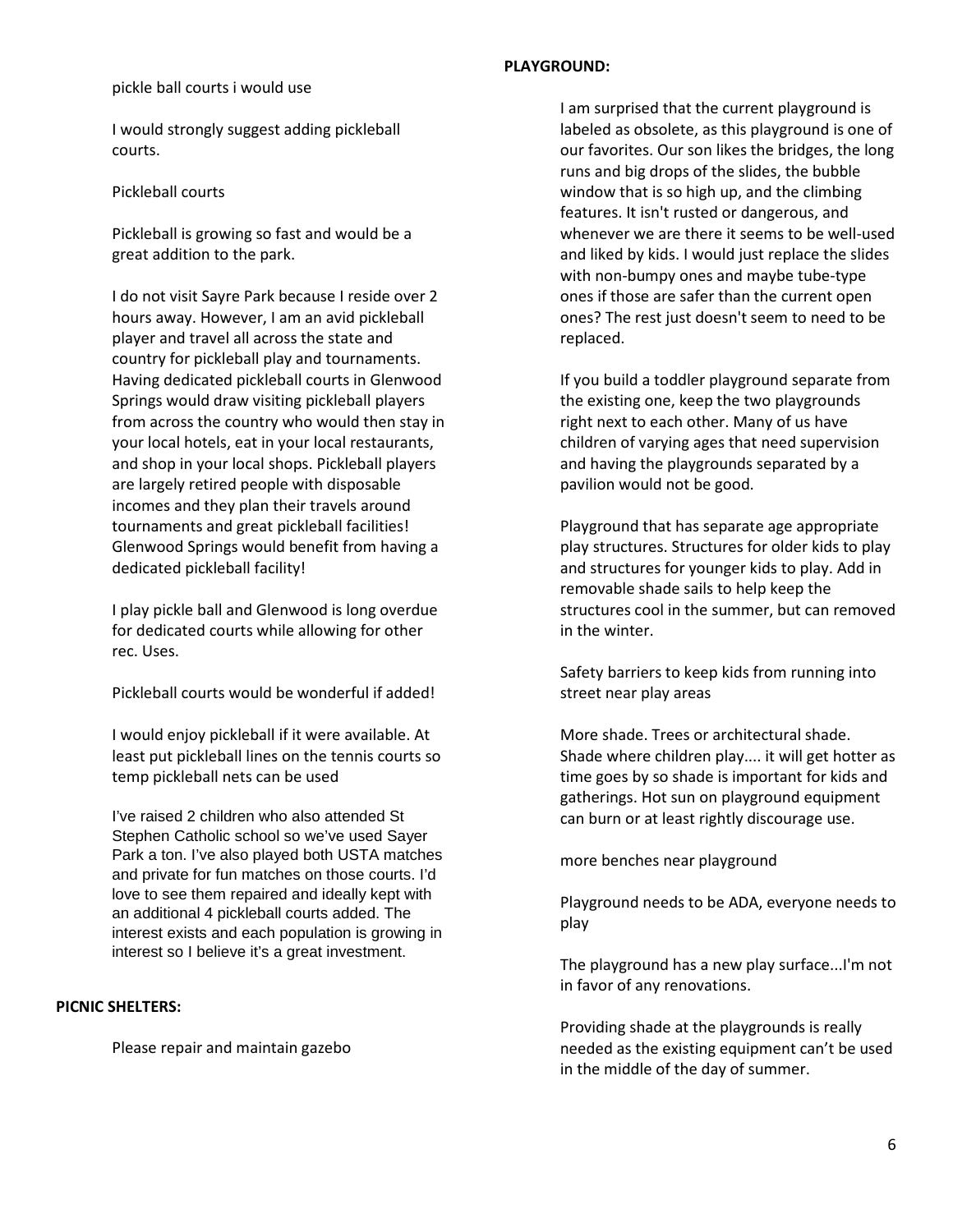#### pickle ball courts i would use

I would strongly suggest adding pickleball courts.

#### Pickleball courts

Pickleball is growing so fast and would be a great addition to the park.

I do not visit Sayre Park because I reside over 2 hours away. However, I am an avid pickleball player and travel all across the state and country for pickleball play and tournaments. Having dedicated pickleball courts in Glenwood Springs would draw visiting pickleball players from across the country who would then stay in your local hotels, eat in your local restaurants, and shop in your local shops. Pickleball players are largely retired people with disposable incomes and they plan their travels around tournaments and great pickleball facilities! Glenwood Springs would benefit from having a dedicated pickleball facility!

I play pickle ball and Glenwood is long overdue for dedicated courts while allowing for other rec. Uses.

Pickleball courts would be wonderful if added!

I would enjoy pickleball if it were available. At least put pickleball lines on the tennis courts so temp pickleball nets can be used

I've raised 2 children who also attended St Stephen Catholic school so we've used Sayer Park a ton. I've also played both USTA matches and private for fun matches on those courts. I'd love to see them repaired and ideally kept with an additional 4 pickleball courts added. The interest exists and each population is growing in interest so I believe it's a great investment.

#### **PICNIC SHELTERS:**

Please repair and maintain gazebo

#### **PLAYGROUND:**

I am surprised that the current playground is labeled as obsolete, as this playground is one of our favorites. Our son likes the bridges, the long runs and big drops of the slides, the bubble window that is so high up, and the climbing features. It isn't rusted or dangerous, and whenever we are there it seems to be well-used and liked by kids. I would just replace the slides with non-bumpy ones and maybe tube-type ones if those are safer than the current open ones? The rest just doesn't seem to need to be replaced.

If you build a toddler playground separate from the existing one, keep the two playgrounds right next to each other. Many of us have children of varying ages that need supervision and having the playgrounds separated by a pavilion would not be good.

Playground that has separate age appropriate play structures. Structures for older kids to play and structures for younger kids to play. Add in removable shade sails to help keep the structures cool in the summer, but can removed in the winter.

Safety barriers to keep kids from running into street near play areas

More shade. Trees or architectural shade. Shade where children play.... it will get hotter as time goes by so shade is important for kids and gatherings. Hot sun on playground equipment can burn or at least rightly discourage use.

more benches near playground

Playground needs to be ADA, everyone needs to play

The playground has a new play surface...I'm not in favor of any renovations.

Providing shade at the playgrounds is really needed as the existing equipment can't be used in the middle of the day of summer.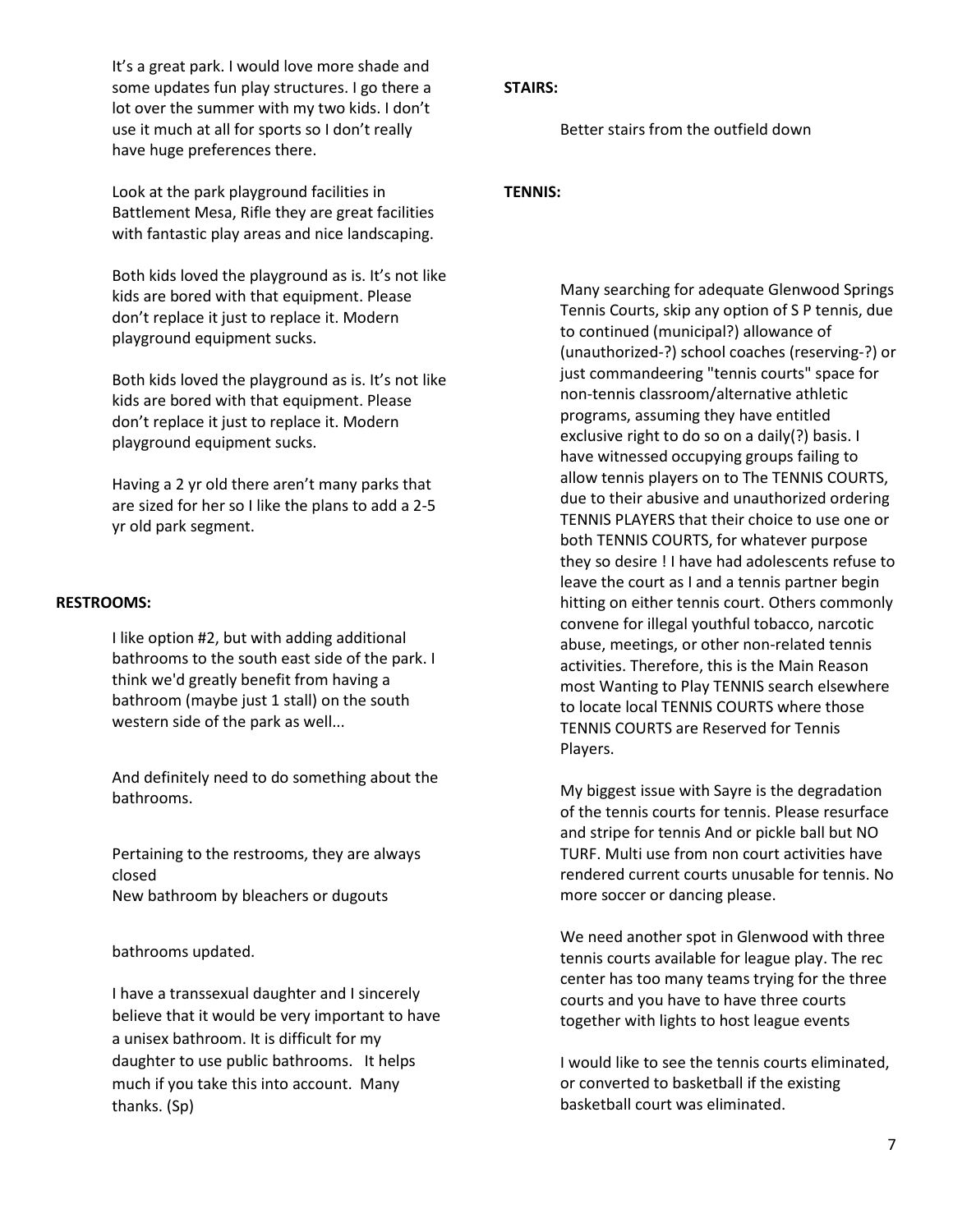It's a great park. I would love more shade and some updates fun play structures. I go there a lot over the summer with my two kids. I don't use it much at all for sports so I don't really have huge preferences there.

Look at the park playground facilities in Battlement Mesa, Rifle they are great facilities with fantastic play areas and nice landscaping.

Both kids loved the playground as is. It's not like kids are bored with that equipment. Please don't replace it just to replace it. Modern playground equipment sucks.

Both kids loved the playground as is. It's not like kids are bored with that equipment. Please don't replace it just to replace it. Modern playground equipment sucks.

Having a 2 yr old there aren't many parks that are sized for her so I like the plans to add a 2-5 yr old park segment.

### **RESTROOMS:**

I like option #2, but with adding additional bathrooms to the south east side of the park. I think we'd greatly benefit from having a bathroom (maybe just 1 stall) on the south western side of the park as well...

And definitely need to do something about the bathrooms.

Pertaining to the restrooms, they are always closed New bathroom by bleachers or dugouts

bathrooms updated.

I have a transsexual daughter and I sincerely believe that it would be very important to have a unisex bathroom. It is difficult for my daughter to use public bathrooms. It helps much if you take this into account. Many thanks. (Sp)

#### **STAIRS:**

Better stairs from the outfield down

### **TENNIS:**

Many searching for adequate Glenwood Springs Tennis Courts, skip any option of S P tennis, due to continued (municipal?) allowance of (unauthorized-?) school coaches (reserving-?) or just commandeering "tennis courts" space for non-tennis classroom/alternative athletic programs, assuming they have entitled exclusive right to do so on a daily(?) basis. I have witnessed occupying groups failing to allow tennis players on to The TENNIS COURTS, due to their abusive and unauthorized ordering TENNIS PLAYERS that their choice to use one or both TENNIS COURTS, for whatever purpose they so desire ! I have had adolescents refuse to leave the court as I and a tennis partner begin hitting on either tennis court. Others commonly convene for illegal youthful tobacco, narcotic abuse, meetings, or other non-related tennis activities. Therefore, this is the Main Reason most Wanting to Play TENNIS search elsewhere to locate local TENNIS COURTS where those TENNIS COURTS are Reserved for Tennis Players.

My biggest issue with Sayre is the degradation of the tennis courts for tennis. Please resurface and stripe for tennis And or pickle ball but NO TURF. Multi use from non court activities have rendered current courts unusable for tennis. No more soccer or dancing please.

We need another spot in Glenwood with three tennis courts available for league play. The rec center has too many teams trying for the three courts and you have to have three courts together with lights to host league events

I would like to see the tennis courts eliminated, or converted to basketball if the existing basketball court was eliminated.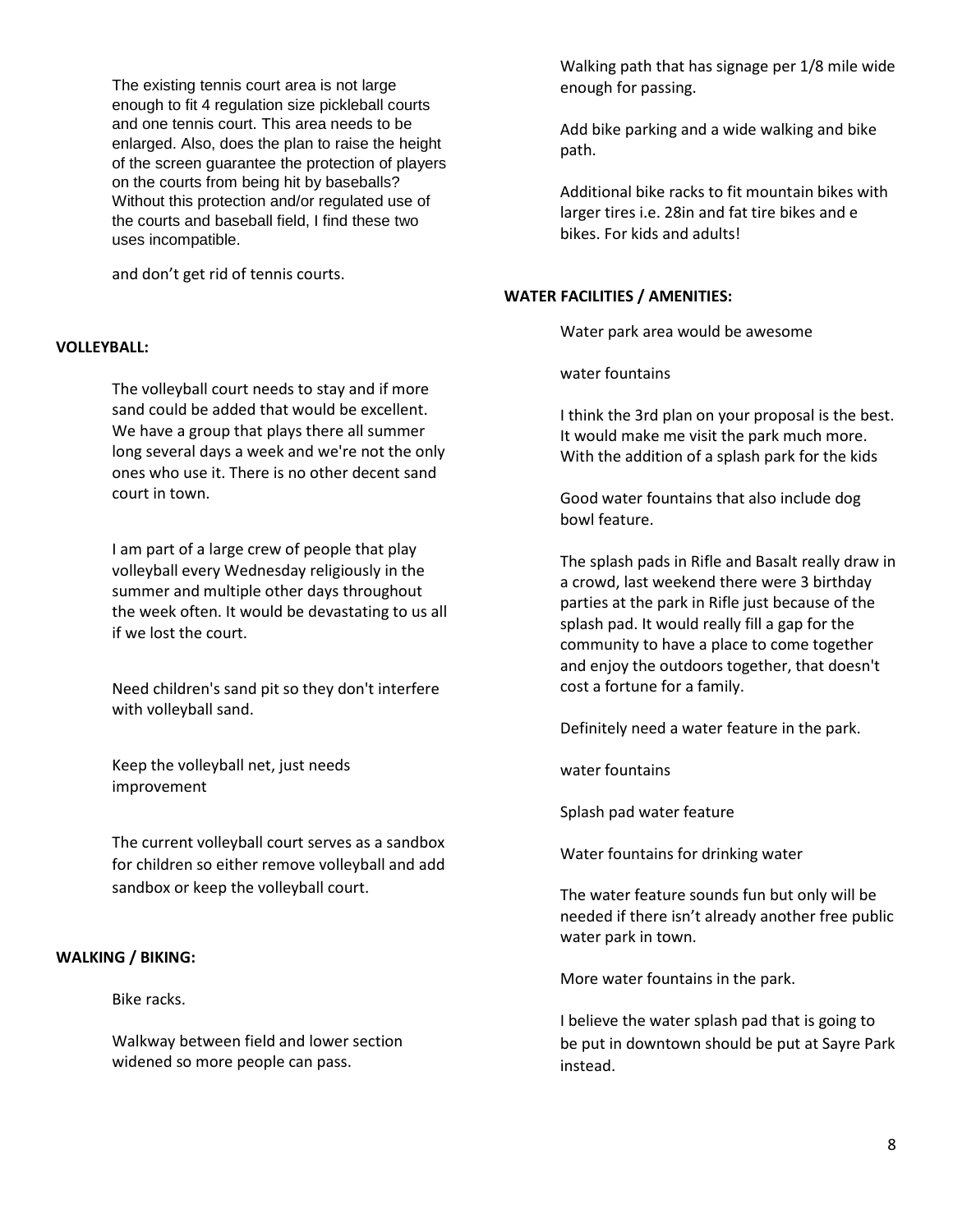The existing tennis court area is not large enough to fit 4 regulation size pickleball courts and one tennis court. This area needs to be enlarged. Also, does the plan to raise the height of the screen guarantee the protection of players on the courts from being hit by baseballs? Without this protection and/or regulated use of the courts and baseball field, I find these two uses incompatible.

and don't get rid of tennis courts.

### **VOLLEYBALL:**

The volleyball court needs to stay and if more sand could be added that would be excellent. We have a group that plays there all summer long several days a week and we're not the only ones who use it. There is no other decent sand court in town.

I am part of a large crew of people that play volleyball every Wednesday religiously in the summer and multiple other days throughout the week often. It would be devastating to us all if we lost the court.

Need children's sand pit so they don't interfere with volleyball sand.

Keep the volleyball net, just needs improvement

The current volleyball court serves as a sandbox for children so either remove volleyball and add sandbox or keep the volleyball court.

# **WALKING / BIKING:**

Bike racks.

Walkway between field and lower section widened so more people can pass.

Walking path that has signage per 1/8 mile wide enough for passing.

Add bike parking and a wide walking and bike path.

Additional bike racks to fit mountain bikes with larger tires i.e. 28in and fat tire bikes and e bikes. For kids and adults!

### **WATER FACILITIES / AMENITIES:**

Water park area would be awesome

water fountains

I think the 3rd plan on your proposal is the best. It would make me visit the park much more. With the addition of a splash park for the kids

Good water fountains that also include dog bowl feature.

The splash pads in Rifle and Basalt really draw in a crowd, last weekend there were 3 birthday parties at the park in Rifle just because of the splash pad. It would really fill a gap for the community to have a place to come together and enjoy the outdoors together, that doesn't cost a fortune for a family.

Definitely need a water feature in the park.

water fountains

Splash pad water feature

Water fountains for drinking water

The water feature sounds fun but only will be needed if there isn't already another free public water park in town.

More water fountains in the park.

I believe the water splash pad that is going to be put in downtown should be put at Sayre Park instead.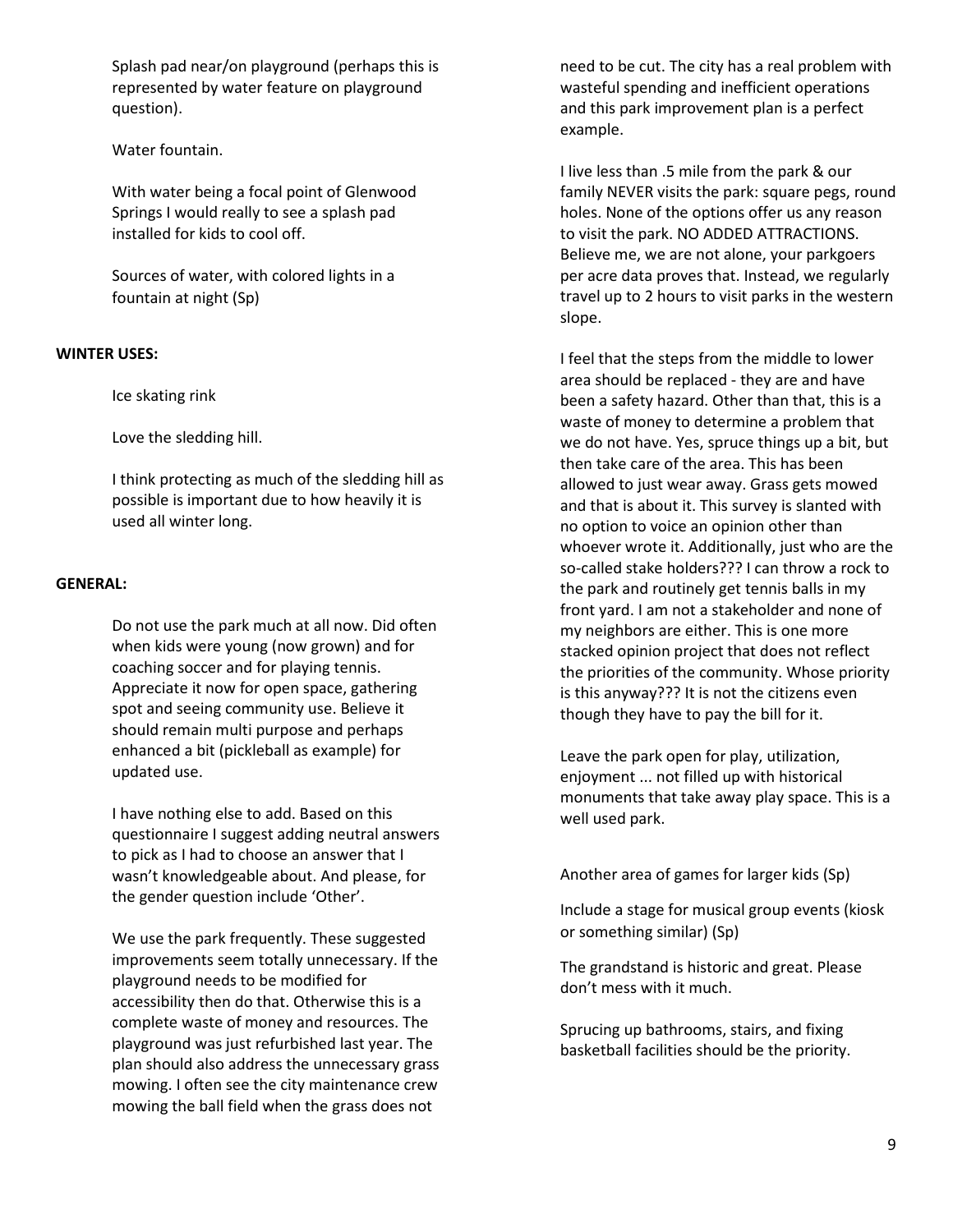Splash pad near/on playground (perhaps this is represented by water feature on playground question).

Water fountain.

With water being a focal point of Glenwood Springs I would really to see a splash pad installed for kids to cool off.

Sources of water, with colored lights in a fountain at night (Sp)

# **WINTER USES:**

Ice skating rink

Love the sledding hill.

I think protecting as much of the sledding hill as possible is important due to how heavily it is used all winter long.

### **GENERAL:**

Do not use the park much at all now. Did often when kids were young (now grown) and for coaching soccer and for playing tennis. Appreciate it now for open space, gathering spot and seeing community use. Believe it should remain multi purpose and perhaps enhanced a bit (pickleball as example) for updated use.

I have nothing else to add. Based on this questionnaire I suggest adding neutral answers to pick as I had to choose an answer that I wasn't knowledgeable about. And please, for the gender question include 'Other'.

We use the park frequently. These suggested improvements seem totally unnecessary. If the playground needs to be modified for accessibility then do that. Otherwise this is a complete waste of money and resources. The playground was just refurbished last year. The plan should also address the unnecessary grass mowing. I often see the city maintenance crew mowing the ball field when the grass does not

need to be cut. The city has a real problem with wasteful spending and inefficient operations and this park improvement plan is a perfect example.

I live less than .5 mile from the park & our family NEVER visits the park: square pegs, round holes. None of the options offer us any reason to visit the park. NO ADDED ATTRACTIONS. Believe me, we are not alone, your parkgoers per acre data proves that. Instead, we regularly travel up to 2 hours to visit parks in the western slope.

I feel that the steps from the middle to lower area should be replaced - they are and have been a safety hazard. Other than that, this is a waste of money to determine a problem that we do not have. Yes, spruce things up a bit, but then take care of the area. This has been allowed to just wear away. Grass gets mowed and that is about it. This survey is slanted with no option to voice an opinion other than whoever wrote it. Additionally, just who are the so-called stake holders??? I can throw a rock to the park and routinely get tennis balls in my front yard. I am not a stakeholder and none of my neighbors are either. This is one more stacked opinion project that does not reflect the priorities of the community. Whose priority is this anyway??? It is not the citizens even though they have to pay the bill for it.

Leave the park open for play, utilization, enjoyment ... not filled up with historical monuments that take away play space. This is a well used park.

Another area of games for larger kids (Sp)

Include a stage for musical group events (kiosk or something similar) (Sp)

The grandstand is historic and great. Please don't mess with it much.

Sprucing up bathrooms, stairs, and fixing basketball facilities should be the priority.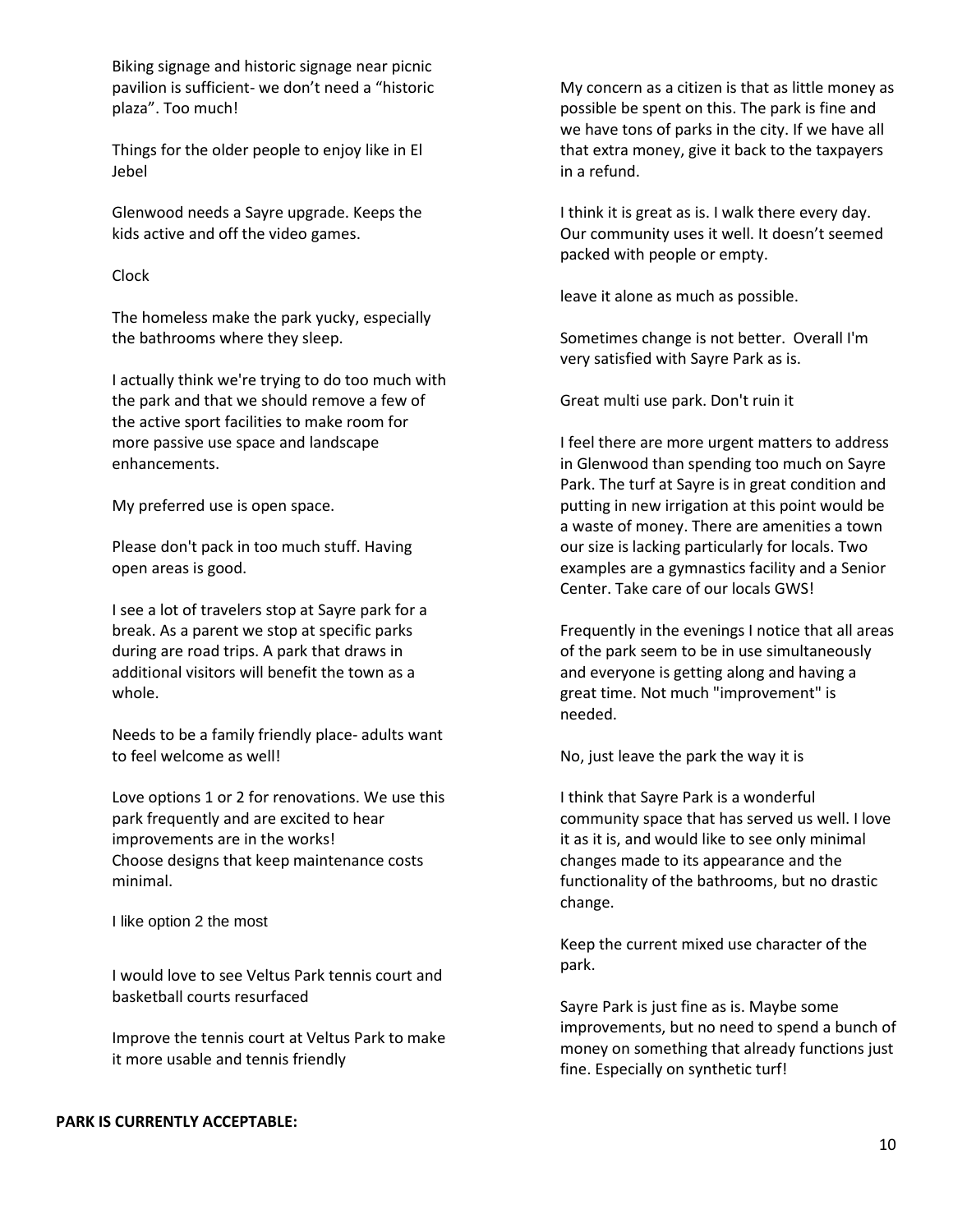Biking signage and historic signage near picnic pavilion is sufficient- we don't need a "historic plaza". Too much!

Things for the older people to enjoy like in El Jebel

Glenwood needs a Sayre upgrade. Keeps the kids active and off the video games.

#### Clock

The homeless make the park yucky, especially the bathrooms where they sleep.

I actually think we're trying to do too much with the park and that we should remove a few of the active sport facilities to make room for more passive use space and landscape enhancements.

My preferred use is open space.

Please don't pack in too much stuff. Having open areas is good.

I see a lot of travelers stop at Sayre park for a break. As a parent we stop at specific parks during are road trips. A park that draws in additional visitors will benefit the town as a whole.

Needs to be a family friendly place- adults want to feel welcome as well!

Love options 1 or 2 for renovations. We use this park frequently and are excited to hear improvements are in the works! Choose designs that keep maintenance costs minimal.

I like option 2 the most

I would love to see Veltus Park tennis court and basketball courts resurfaced

Improve the tennis court at Veltus Park to make it more usable and tennis friendly

#### **PARK IS CURRENTLY ACCEPTABLE:**

My concern as a citizen is that as little money as possible be spent on this. The park is fine and we have tons of parks in the city. If we have all that extra money, give it back to the taxpayers in a refund.

I think it is great as is. I walk there every day. Our community uses it well. It doesn't seemed packed with people or empty.

leave it alone as much as possible.

Sometimes change is not better. Overall I'm very satisfied with Sayre Park as is.

Great multi use park. Don't ruin it

I feel there are more urgent matters to address in Glenwood than spending too much on Sayre Park. The turf at Sayre is in great condition and putting in new irrigation at this point would be a waste of money. There are amenities a town our size is lacking particularly for locals. Two examples are a gymnastics facility and a Senior Center. Take care of our locals GWS!

Frequently in the evenings I notice that all areas of the park seem to be in use simultaneously and everyone is getting along and having a great time. Not much "improvement" is needed.

No, just leave the park the way it is

I think that Sayre Park is a wonderful community space that has served us well. I love it as it is, and would like to see only minimal changes made to its appearance and the functionality of the bathrooms, but no drastic change.

Keep the current mixed use character of the park.

Sayre Park is just fine as is. Maybe some improvements, but no need to spend a bunch of money on something that already functions just fine. Especially on synthetic turf!